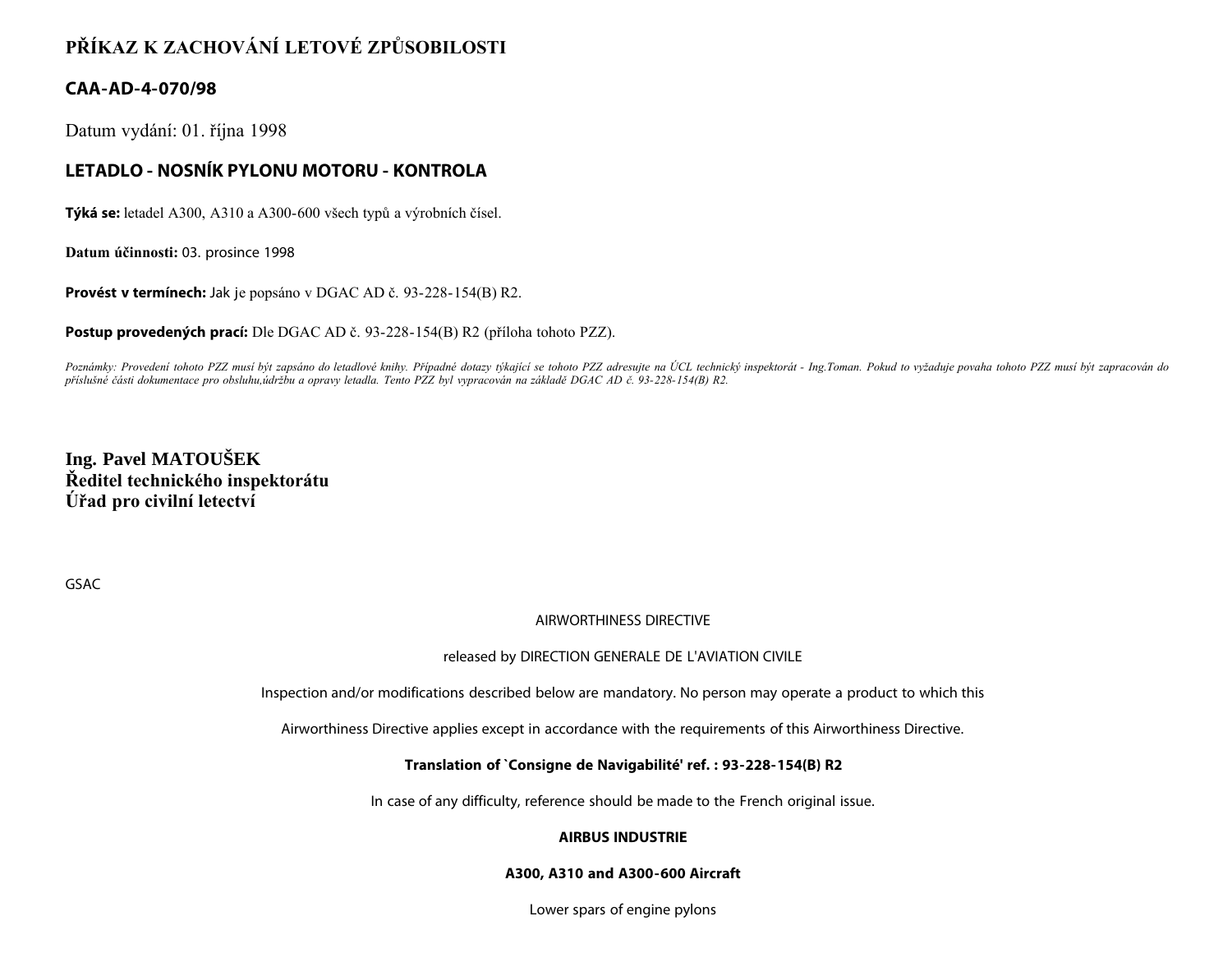# **PŘÍKAZ K ZACHOVÁNÍ LETOVÉ ZPŮSOBILOSTI**

## **CAA-AD-4-070/98**

Datum vydání: 01. října 1998

## **LETADLO - NOSNÍK PYLONU MOTORU - KONTROLA**

**Týká se:** letadel A300, A310 a A300-600 všech typů a výrobních čísel.

**Datum účinnosti:** 03. prosince 1998

**Provést v termínech:** Jak je popsáno v DGAC AD č. 93-228-154(B) R2.

**Postup provedených prací:** Dle DGAC AD č. 93-228-154(B) R2 (příloha tohoto PZZ).

*Poznámky: Provedení tohoto PZZ musí být zapsáno do letadlové knihy. Případné dotazy týkající se tohoto PZZ adresujte na ÚCL technický inspektorát - Ing.Toman. Pokud to vyžaduje povaha tohoto PZZ musí být zapracován do příslušné části dokumentace pro obsluhu,údržbu a opravy letadla. Tento PZZ byl vypracován na základě DGAC AD č. 93-228-154(B) R2.*

**Ing. Pavel MATOUŠEK Ředitel technického inspektorátu Úřad pro civilní letectví**

GSAC

#### AIRWORTHINESS DIRECTIVE

#### released by DIRECTION GENERALE DE L'AVIATION CIVILE

Inspection and/or modifications described below are mandatory. No person may operate a product to which this

Airworthiness Directive applies except in accordance with the requirements of this Airworthiness Directive.

#### **Translation of `Consigne de Navigabilité' ref. : 93-228-154(B) R2**

In case of any difficulty, reference should be made to the French original issue.

#### **AIRBUS INDUSTRIE**

#### **A300, A310 and A300-600 Aircraft**

Lower spars of engine pylons